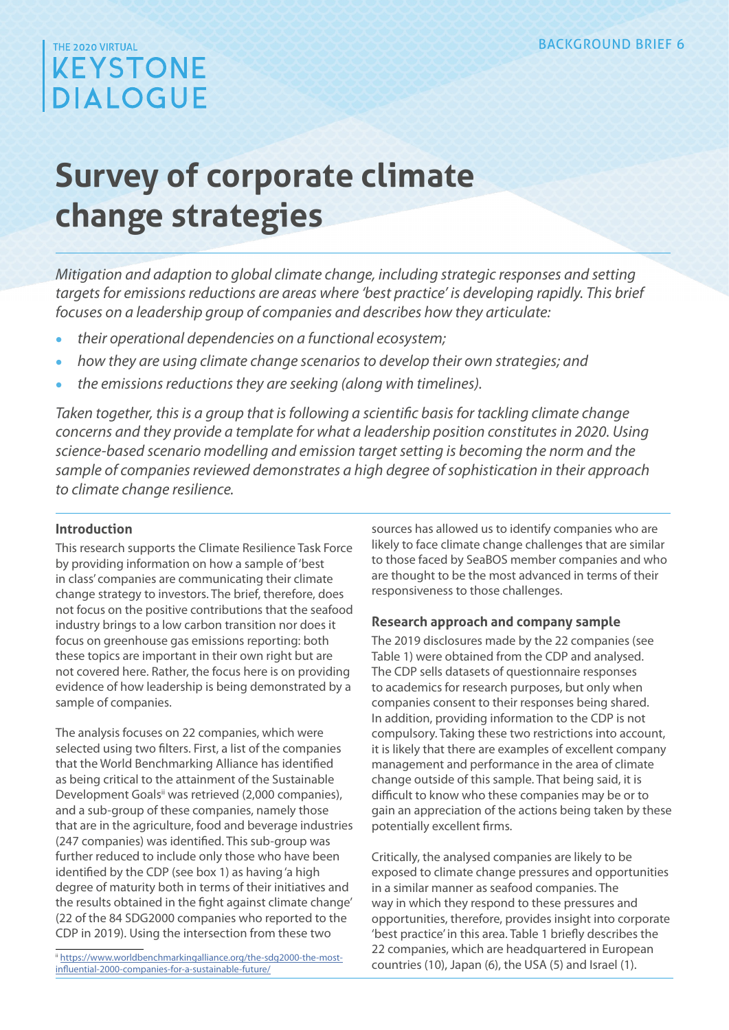# THE 2020 VIRTUAL **KEYSTONE DIALOGUE**

# **Survey of corporate climate change strategies**

*Mitigation and adaption to global climate change, including strategic responses and setting targets for emissions reductions are areas where 'best practice' is developing rapidly. This brief focuses on a leadership group of companies and describes how they articulate:*

- **•** *their operational dependencies on a functional ecosystem;*
- **•** *how they are using climate change scenarios to develop their own strategies; and*
- **•** *the emissions reductions they are seeking (along with timelines).*

*Taken together, this is a group that is following a scientific basis for tackling climate change concerns and they provide a template for what a leadership position constitutes in 2020. Using science-based scenario modelling and emission target setting is becoming the norm and the sample of companies reviewed demonstrates a high degree of sophistication in their approach to climate change resilience.*

# **Introduction**

This research supports the Climate Resilience Task Force by providing information on how a sample of 'best in class' companies are communicating their climate change strategy to investors. The brief, therefore, does not focus on the positive contributions that the seafood industry brings to a low carbon transition nor does it focus on greenhouse gas emissions reporting: both these topics are important in their own right but are not covered here. Rather, the focus here is on providing evidence of how leadership is being demonstrated by a sample of companies.

The analysis focuses on 22 companies, which were selected using two filters. First, a list of the companies that the World Benchmarking Alliance has identified as being critical to the attainment of the Sustainable Development Goals<sup>ii</sup> was retrieved (2,000 companies), and a sub-group of these companies, namely those that are in the agriculture, food and beverage industries (247 companies) was identified. This sub-group was further reduced to include only those who have been identified by the CDP (see box 1) as having 'a high degree of maturity both in terms of their initiatives and the results obtained in the fight against climate change' (22 of the 84 SDG2000 companies who reported to the CDP in 2019). Using the intersection from these two

ii [https://www.worldbenchmarkingalliance.org/the-sdg2000-the-most](https://www.worldbenchmarkingalliance.org/the-sdg2000-the-most-influential-2000-companies-for-a-sustainable-future/)[influential-2000-companies-for-a-sustainable-future/](https://www.worldbenchmarkingalliance.org/the-sdg2000-the-most-influential-2000-companies-for-a-sustainable-future/)

sources has allowed us to identify companies who are likely to face climate change challenges that are similar to those faced by SeaBOS member companies and who are thought to be the most advanced in terms of their responsiveness to those challenges.

# **Research approach and company sample**

The 2019 disclosures made by the 22 companies (see Table 1) were obtained from the CDP and analysed. The CDP sells datasets of questionnaire responses to academics for research purposes, but only when companies consent to their responses being shared. In addition, providing information to the CDP is not compulsory. Taking these two restrictions into account, it is likely that there are examples of excellent company management and performance in the area of climate change outside of this sample. That being said, it is difficult to know who these companies may be or to gain an appreciation of the actions being taken by these potentially excellent firms.

Critically, the analysed companies are likely to be exposed to climate change pressures and opportunities in a similar manner as seafood companies. The way in which they respond to these pressures and opportunities, therefore, provides insight into corporate 'best practice' in this area. Table 1 briefly describes the 22 companies, which are headquartered in European countries (10), Japan (6), the USA (5) and Israel (1).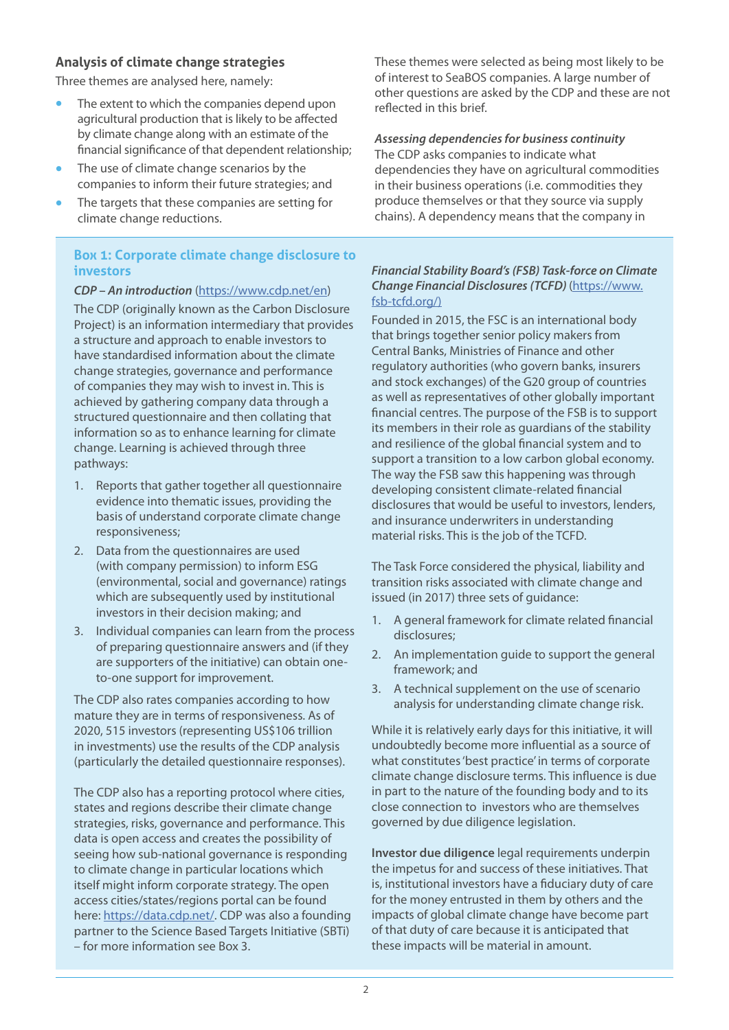# **Analysis of climate change strategies**

Three themes are analysed here, namely:

- **•** The extent to which the companies depend upon agricultural production that is likely to be affected by climate change along with an estimate of the financial significance of that dependent relationship;
- **•** The use of climate change scenarios by the companies to inform their future strategies; and
- **•** The targets that these companies are setting for climate change reductions.

# **Box 1: Corporate climate change disclosure to investors**

#### *CDP – An introduction* [\(https://www.cdp.net/en](https://www.cdp.net/en))

The CDP (originally known as the Carbon Disclosure Project) is an information intermediary that provides a structure and approach to enable investors to have standardised information about the climate change strategies, governance and performance of companies they may wish to invest in. This is achieved by gathering company data through a structured questionnaire and then collating that information so as to enhance learning for climate change. Learning is achieved through three pathways:

- 1. Reports that gather together all questionnaire evidence into thematic issues, providing the basis of understand corporate climate change responsiveness;
- 2. Data from the questionnaires are used (with company permission) to inform ESG (environmental, social and governance) ratings which are subsequently used by institutional investors in their decision making; and
- 3. Individual companies can learn from the process of preparing questionnaire answers and (if they are supporters of the initiative) can obtain oneto-one support for improvement.

The CDP also rates companies according to how mature they are in terms of responsiveness. As of 2020, 515 investors (representing US\$106 trillion in investments) use the results of the CDP analysis (particularly the detailed questionnaire responses).

The CDP also has a reporting protocol where cities, states and regions describe their climate change strategies, risks, governance and performance. This data is open access and creates the possibility of seeing how sub-national governance is responding to climate change in particular locations which itself might inform corporate strategy. The open access cities/states/regions portal can be found here: <https://data.cdp.net/>. CDP was also a founding partner to the Science Based Targets Initiative (SBTi) – for more information see Box 3.

These themes were selected as being most likely to be of interest to SeaBOS companies. A large number of other questions are asked by the CDP and these are not reflected in this brief.

# *Assessing dependencies for business continuity*

The CDP asks companies to indicate what dependencies they have on agricultural commodities in their business operations (i.e. commodities they produce themselves or that they source via supply chains). A dependency means that the company in

#### *Financial Stability Board's (FSB) Task-force on Climate Change Financial Disclosures (TCFD)* ([https://www.](https://www.fsb-tcfd.org/) [fsb-tcfd.org/\)](https://www.fsb-tcfd.org/)

Founded in 2015, the FSC is an international body that brings together senior policy makers from Central Banks, Ministries of Finance and other regulatory authorities (who govern banks, insurers and stock exchanges) of the G20 group of countries as well as representatives of other globally important financial centres. The purpose of the FSB is to support its members in their role as guardians of the stability and resilience of the global financial system and to support a transition to a low carbon global economy. The way the FSB saw this happening was through developing consistent climate-related financial disclosures that would be useful to investors, lenders, and insurance underwriters in understanding material risks. This is the job of the TCFD.

The Task Force considered the physical, liability and transition risks associated with climate change and issued (in 2017) three sets of guidance:

- 1. A general framework for climate related financial disclosures;
- 2. An implementation guide to support the general framework; and
- 3. A technical supplement on the use of scenario analysis for understanding climate change risk.

While it is relatively early days for this initiative, it will undoubtedly become more influential as a source of what constitutes 'best practice' in terms of corporate climate change disclosure terms. This influence is due in part to the nature of the founding body and to its close connection to investors who are themselves governed by due diligence legislation.

**Investor due diligence** legal requirements underpin the impetus for and success of these initiatives. That is, institutional investors have a fiduciary duty of care for the money entrusted in them by others and the impacts of global climate change have become part of that duty of care because it is anticipated that these impacts will be material in amount.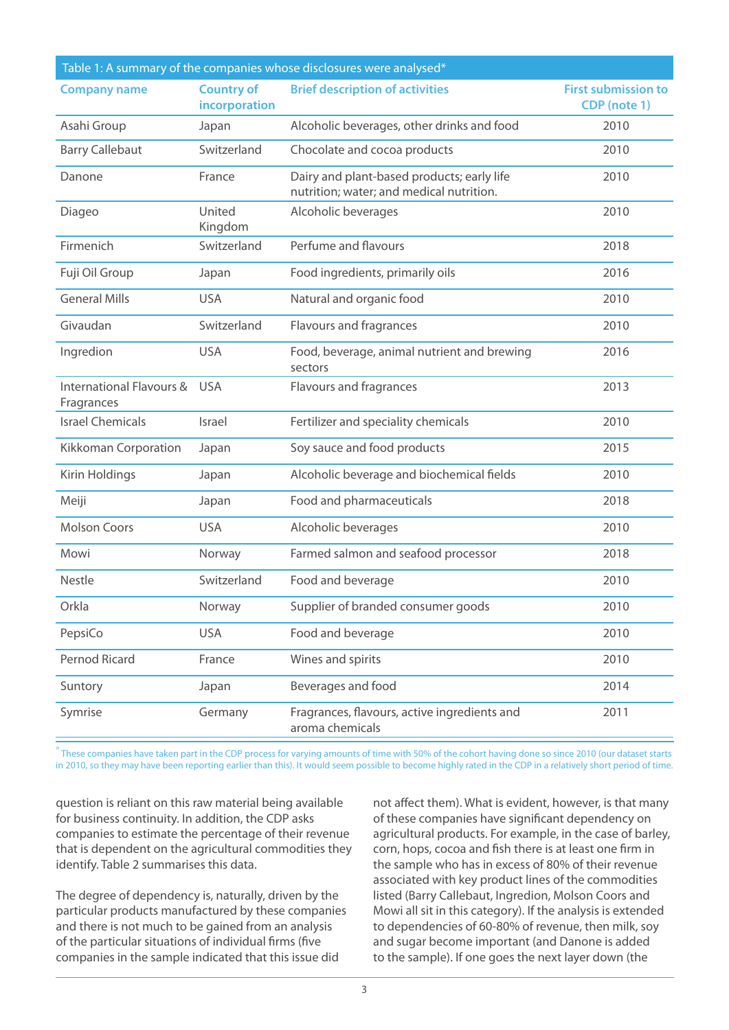| Table 1: A summary of the companies whose disclosures were analysed* |                                    |                                                                                        |                                                   |  |  |  |
|----------------------------------------------------------------------|------------------------------------|----------------------------------------------------------------------------------------|---------------------------------------------------|--|--|--|
| <b>Company name</b>                                                  | <b>Country of</b><br>incorporation | <b>Brief description of activities</b>                                                 | <b>First submission to</b><br><b>CDP</b> (note 1) |  |  |  |
| Asahi Group                                                          | Japan                              | Alcoholic beverages, other drinks and food                                             | 2010                                              |  |  |  |
| <b>Barry Callebaut</b>                                               | Switzerland                        | Chocolate and cocoa products                                                           | 2010                                              |  |  |  |
| Danone                                                               | France                             | Dairy and plant-based products; early life<br>nutrition; water; and medical nutrition. | 2010                                              |  |  |  |
| Diageo                                                               | United<br>Kingdom                  | Alcoholic beverages                                                                    | 2010                                              |  |  |  |
| Firmenich                                                            | Switzerland                        | Perfume and flavours                                                                   | 2018                                              |  |  |  |
| Fuji Oil Group                                                       | Japan                              | Food ingredients, primarily oils                                                       | 2016                                              |  |  |  |
| <b>General Mills</b>                                                 | <b>USA</b>                         | Natural and organic food                                                               | 2010                                              |  |  |  |
| Givaudan                                                             | Switzerland                        | Flavours and fragrances                                                                | 2010                                              |  |  |  |
| Ingredion                                                            | <b>USA</b>                         | Food, beverage, animal nutrient and brewing<br>sectors                                 | 2016                                              |  |  |  |
| International Flavours &<br>Fragrances                               | <b>USA</b>                         | Flavours and fragrances                                                                | 2013                                              |  |  |  |
| <b>Israel Chemicals</b>                                              | Israel                             | Fertilizer and speciality chemicals                                                    | 2010                                              |  |  |  |
| Kikkoman Corporation                                                 | Japan                              | Soy sauce and food products                                                            | 2015                                              |  |  |  |
| Kirin Holdings                                                       | Japan                              | Alcoholic beverage and biochemical fields                                              | 2010                                              |  |  |  |
| Meiji                                                                | Japan                              | Food and pharmaceuticals                                                               | 2018                                              |  |  |  |
| <b>Molson Coors</b>                                                  | <b>USA</b>                         | Alcoholic beverages                                                                    | 2010                                              |  |  |  |
| Mowi                                                                 | Norway                             | Farmed salmon and seafood processor                                                    | 2018                                              |  |  |  |
| Nestle                                                               | Switzerland                        | Food and beverage                                                                      | 2010                                              |  |  |  |
| Orkla                                                                | Norway                             | Supplier of branded consumer goods                                                     | 2010                                              |  |  |  |
| PepsiCo                                                              | <b>USA</b>                         | Food and beverage                                                                      | 2010                                              |  |  |  |
| Pernod Ricard                                                        | France                             | Wines and spirits                                                                      | 2010                                              |  |  |  |
| Suntory                                                              | Japan                              | Beverages and food                                                                     | 2014                                              |  |  |  |
| Symrise                                                              | Germany                            | Fragrances, flavours, active ingredients and<br>aroma chemicals                        | 2011                                              |  |  |  |

**\*** These companies have taken part in the CDP process for varying amounts of time with 50% of the cohort having done so since 2010 (our dataset starts in 2010, so they may have been reporting earlier than this). It would seem possible to become highly rated in the CDP in a relatively short period of time.

question is reliant on this raw material being available for business continuity. In addition, the CDP asks companies to estimate the percentage of their revenue that is dependent on the agricultural commodities they identify. Table 2 summarises this data.

The degree of dependency is, naturally, driven by the particular products manufactured by these companies and there is not much to be gained from an analysis of the particular situations of individual firms (five companies in the sample indicated that this issue did

not affect them). What is evident, however, is that many of these companies have significant dependency on agricultural products. For example, in the case of barley, corn, hops, cocoa and fish there is at least one firm in the sample who has in excess of 80% of their revenue associated with key product lines of the commodities listed (Barry Callebaut, Ingredion, Molson Coors and Mowi all sit in this category). If the analysis is extended to dependencies of 60-80% of revenue, then milk, soy and sugar become important (and Danone is added to the sample). If one goes the next layer down (the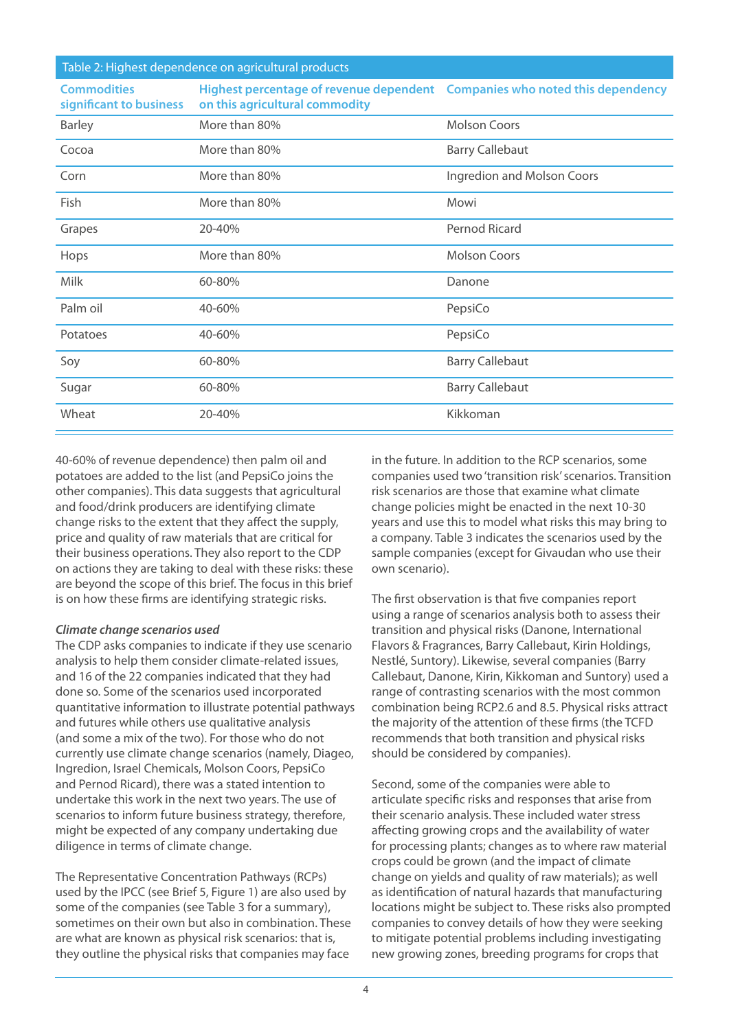Table 2: Highest dependence on agricultural products

| <b>Commodities</b><br>significant to business | Highest percentage of revenue dependent  Companies who noted this dependency<br>on this agricultural commodity |                            |
|-----------------------------------------------|----------------------------------------------------------------------------------------------------------------|----------------------------|
| <b>Barley</b>                                 | More than 80%                                                                                                  | <b>Molson Coors</b>        |
| Cocoa                                         | More than 80%                                                                                                  | <b>Barry Callebaut</b>     |
| Corn                                          | More than 80%                                                                                                  | Ingredion and Molson Coors |
| <b>Fish</b>                                   | More than 80%                                                                                                  | Mowi                       |
| Grapes                                        | 20-40%                                                                                                         | Pernod Ricard              |
| Hops                                          | More than 80%                                                                                                  | <b>Molson Coors</b>        |
| Milk                                          | 60-80%                                                                                                         | Danone                     |
| Palm oil                                      | 40-60%                                                                                                         | PepsiCo                    |
| Potatoes                                      | 40-60%                                                                                                         | PepsiCo                    |
| Soy                                           | 60-80%                                                                                                         | <b>Barry Callebaut</b>     |
| Sugar                                         | 60-80%                                                                                                         | <b>Barry Callebaut</b>     |
| Wheat                                         | 20-40%                                                                                                         | Kikkoman                   |

40-60% of revenue dependence) then palm oil and potatoes are added to the list (and PepsiCo joins the other companies). This data suggests that agricultural and food/drink producers are identifying climate change risks to the extent that they affect the supply, price and quality of raw materials that are critical for their business operations. They also report to the CDP on actions they are taking to deal with these risks: these are beyond the scope of this brief. The focus in this brief is on how these firms are identifying strategic risks.

#### *Climate change scenarios used*

The CDP asks companies to indicate if they use scenario analysis to help them consider climate-related issues, and 16 of the 22 companies indicated that they had done so. Some of the scenarios used incorporated quantitative information to illustrate potential pathways and futures while others use qualitative analysis (and some a mix of the two). For those who do not currently use climate change scenarios (namely, Diageo, Ingredion, Israel Chemicals, Molson Coors, PepsiCo and Pernod Ricard), there was a stated intention to undertake this work in the next two years. The use of scenarios to inform future business strategy, therefore, might be expected of any company undertaking due diligence in terms of climate change.

The Representative Concentration Pathways (RCPs) used by the IPCC (see Brief 5, Figure 1) are also used by some of the companies (see Table 3 for a summary), sometimes on their own but also in combination. These are what are known as physical risk scenarios: that is, they outline the physical risks that companies may face

in the future. In addition to the RCP scenarios, some companies used two 'transition risk' scenarios. Transition risk scenarios are those that examine what climate change policies might be enacted in the next 10-30 years and use this to model what risks this may bring to a company. Table 3 indicates the scenarios used by the sample companies (except for Givaudan who use their own scenario).

The first observation is that five companies report using a range of scenarios analysis both to assess their transition and physical risks (Danone, International Flavors & Fragrances, Barry Callebaut, Kirin Holdings, Nestlé, Suntory). Likewise, several companies (Barry Callebaut, Danone, Kirin, Kikkoman and Suntory) used a range of contrasting scenarios with the most common combination being RCP2.6 and 8.5. Physical risks attract the majority of the attention of these firms (the TCFD recommends that both transition and physical risks should be considered by companies).

Second, some of the companies were able to articulate specific risks and responses that arise from their scenario analysis. These included water stress affecting growing crops and the availability of water for processing plants; changes as to where raw material crops could be grown (and the impact of climate change on yields and quality of raw materials); as well as identification of natural hazards that manufacturing locations might be subject to. These risks also prompted companies to convey details of how they were seeking to mitigate potential problems including investigating new growing zones, breeding programs for crops that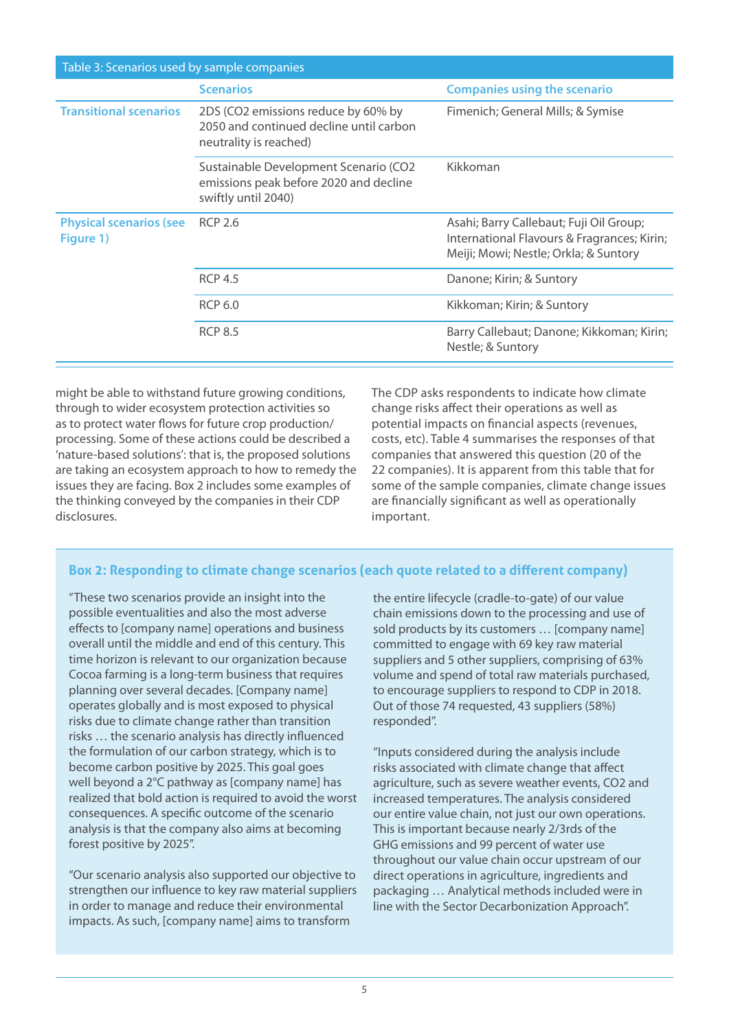| Table 3: Scenarios used by sample companies |                                                                                                          |                                                                                                                                 |  |  |  |  |
|---------------------------------------------|----------------------------------------------------------------------------------------------------------|---------------------------------------------------------------------------------------------------------------------------------|--|--|--|--|
|                                             | <b>Scenarios</b>                                                                                         | <b>Companies using the scenario</b>                                                                                             |  |  |  |  |
| <b>Transitional scenarios</b>               | 2DS (CO2 emissions reduce by 60% by<br>2050 and continued decline until carbon<br>neutrality is reached) | Fimenich; General Mills; & Symise                                                                                               |  |  |  |  |
|                                             | Sustainable Development Scenario (CO2<br>emissions peak before 2020 and decline<br>swiftly until 2040)   | Kikkoman                                                                                                                        |  |  |  |  |
| <b>Physical scenarios (see</b><br>Figure 1) | <b>RCP 2.6</b>                                                                                           | Asahi; Barry Callebaut; Fuji Oil Group;<br>International Flavours & Fragrances; Kirin;<br>Meiji; Mowi; Nestle; Orkla; & Suntory |  |  |  |  |
|                                             | <b>RCP 4.5</b>                                                                                           | Danone; Kirin; & Suntory                                                                                                        |  |  |  |  |
|                                             | <b>RCP 6.0</b>                                                                                           | Kikkoman; Kirin; & Suntory                                                                                                      |  |  |  |  |
|                                             | <b>RCP 8.5</b>                                                                                           | Barry Callebaut; Danone; Kikkoman; Kirin;<br>Nestle; & Suntory                                                                  |  |  |  |  |

might be able to withstand future growing conditions, through to wider ecosystem protection activities so as to protect water flows for future crop production/ processing. Some of these actions could be described a 'nature-based solutions': that is, the proposed solutions are taking an ecosystem approach to how to remedy the issues they are facing. Box 2 includes some examples of the thinking conveyed by the companies in their CDP disclosures.

The CDP asks respondents to indicate how climate change risks affect their operations as well as potential impacts on financial aspects (revenues, costs, etc). Table 4 summarises the responses of that companies that answered this question (20 of the 22 companies). It is apparent from this table that for some of the sample companies, climate change issues are financially significant as well as operationally important.

# **Box 2: Responding to climate change scenarios (each quote related to a different company)**

"These two scenarios provide an insight into the possible eventualities and also the most adverse effects to [company name] operations and business overall until the middle and end of this century. This time horizon is relevant to our organization because Cocoa farming is a long-term business that requires planning over several decades. [Company name] operates globally and is most exposed to physical risks due to climate change rather than transition risks … the scenario analysis has directly influenced the formulation of our carbon strategy, which is to become carbon positive by 2025. This goal goes well beyond a 2°C pathway as [company name] has realized that bold action is required to avoid the worst consequences. A specific outcome of the scenario analysis is that the company also aims at becoming forest positive by 2025".

"Our scenario analysis also supported our objective to strengthen our influence to key raw material suppliers in order to manage and reduce their environmental impacts. As such, [company name] aims to transform

the entire lifecycle (cradle-to-gate) of our value chain emissions down to the processing and use of sold products by its customers … [company name] committed to engage with 69 key raw material suppliers and 5 other suppliers, comprising of 63% volume and spend of total raw materials purchased, to encourage suppliers to respond to CDP in 2018. Out of those 74 requested, 43 suppliers (58%) responded".

"Inputs considered during the analysis include risks associated with climate change that affect agriculture, such as severe weather events, CO2 and increased temperatures. The analysis considered our entire value chain, not just our own operations. This is important because nearly 2/3rds of the GHG emissions and 99 percent of water use throughout our value chain occur upstream of our direct operations in agriculture, ingredients and packaging … Analytical methods included were in line with the Sector Decarbonization Approach".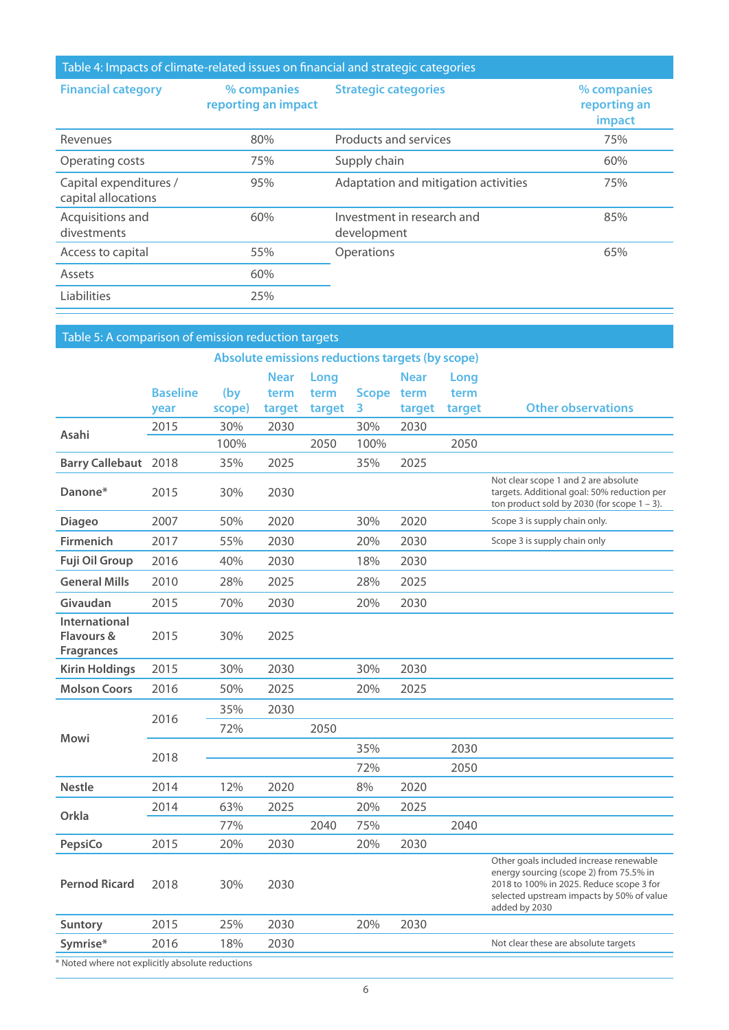| Table 4: Impacts of climate-related issues on financial and strategic categories |                                    |                                           |                                       |  |  |  |
|----------------------------------------------------------------------------------|------------------------------------|-------------------------------------------|---------------------------------------|--|--|--|
| <b>Financial category</b>                                                        | % companies<br>reporting an impact | <b>Strategic categories</b>               | % companies<br>reporting an<br>impact |  |  |  |
| Revenues                                                                         | 80%                                | Products and services                     | 75%                                   |  |  |  |
| Operating costs                                                                  | 75%                                | Supply chain                              | 60%                                   |  |  |  |
| Capital expenditures /<br>capital allocations                                    | 95%                                | Adaptation and mitigation activities      | 75%                                   |  |  |  |
| Acquisitions and<br>divestments                                                  | 60%                                | Investment in research and<br>development | 85%                                   |  |  |  |
| Access to capital                                                                | 55%                                | Operations                                | 65%                                   |  |  |  |
| Assets                                                                           | 60%                                |                                           |                                       |  |  |  |
| Liabilities                                                                      | 25%                                |                                           |                                       |  |  |  |

| Table 5: A comparison of emission reduction targets |                 |        |             |        |       |             |        |                                                                                                                                                                                              |
|-----------------------------------------------------|-----------------|--------|-------------|--------|-------|-------------|--------|----------------------------------------------------------------------------------------------------------------------------------------------------------------------------------------------|
| Absolute emissions reductions targets (by scope)    |                 |        |             |        |       |             |        |                                                                                                                                                                                              |
|                                                     |                 |        | <b>Near</b> | Long   |       | <b>Near</b> | Long   |                                                                                                                                                                                              |
|                                                     | <b>Baseline</b> | (by)   | term        | term   | Scope | term        | term   |                                                                                                                                                                                              |
|                                                     | year            | scope) | target      | target | 3     | target      | target | <b>Other observations</b>                                                                                                                                                                    |
| Asahi                                               | 2015            | 30%    | 2030        |        | 30%   | 2030        |        |                                                                                                                                                                                              |
|                                                     |                 | 100%   |             | 2050   | 100%  |             | 2050   |                                                                                                                                                                                              |
| <b>Barry Callebaut</b> 2018                         |                 | 35%    | 2025        |        | 35%   | 2025        |        |                                                                                                                                                                                              |
| Danone*                                             | 2015            | 30%    | 2030        |        |       |             |        | Not clear scope 1 and 2 are absolute<br>targets. Additional goal: 50% reduction per<br>ton product sold by 2030 (for scope $1 - 3$ ).                                                        |
| <b>Diageo</b>                                       | 2007            | 50%    | 2020        |        | 30%   | 2020        |        | Scope 3 is supply chain only.                                                                                                                                                                |
| <b>Firmenich</b>                                    | 2017            | 55%    | 2030        |        | 20%   | 2030        |        | Scope 3 is supply chain only                                                                                                                                                                 |
| <b>Fuji Oil Group</b>                               | 2016            | 40%    | 2030        |        | 18%   | 2030        |        |                                                                                                                                                                                              |
| <b>General Mills</b>                                | 2010            | 28%    | 2025        |        | 28%   | 2025        |        |                                                                                                                                                                                              |
| Givaudan                                            | 2015            | 70%    | 2030        |        | 20%   | 2030        |        |                                                                                                                                                                                              |
| International<br>Flavours &<br><b>Fragrances</b>    | 2015            | 30%    | 2025        |        |       |             |        |                                                                                                                                                                                              |
| <b>Kirin Holdings</b>                               | 2015            | 30%    | 2030        |        | 30%   | 2030        |        |                                                                                                                                                                                              |
| <b>Molson Coors</b>                                 | 2016            | 50%    | 2025        |        | 20%   | 2025        |        |                                                                                                                                                                                              |
|                                                     | 2016            | 35%    | 2030        |        |       |             |        |                                                                                                                                                                                              |
|                                                     |                 | 72%    |             | 2050   |       |             |        |                                                                                                                                                                                              |
| Mowi                                                | 2018            |        |             |        | 35%   |             | 2030   |                                                                                                                                                                                              |
|                                                     |                 |        |             |        | 72%   |             | 2050   |                                                                                                                                                                                              |
| <b>Nestle</b>                                       | 2014            | 12%    | 2020        |        | 8%    | 2020        |        |                                                                                                                                                                                              |
|                                                     | 2014            | 63%    | 2025        |        | 20%   | 2025        |        |                                                                                                                                                                                              |
| Orkla                                               |                 | 77%    |             | 2040   | 75%   |             | 2040   |                                                                                                                                                                                              |
| PepsiCo                                             | 2015            | 20%    | 2030        |        | 20%   | 2030        |        |                                                                                                                                                                                              |
| <b>Pernod Ricard</b>                                | 2018            | 30%    | 2030        |        |       |             |        | Other goals included increase renewable<br>energy sourcing (scope 2) from 75.5% in<br>2018 to 100% in 2025. Reduce scope 3 for<br>selected upstream impacts by 50% of value<br>added by 2030 |
| <b>Suntory</b>                                      | 2015            | 25%    | 2030        |        | 20%   | 2030        |        |                                                                                                                                                                                              |
| Symrise*                                            | 2016            | 18%    | 2030        |        |       |             |        | Not clear these are absolute targets                                                                                                                                                         |

\* Noted where not explicitly absolute reductions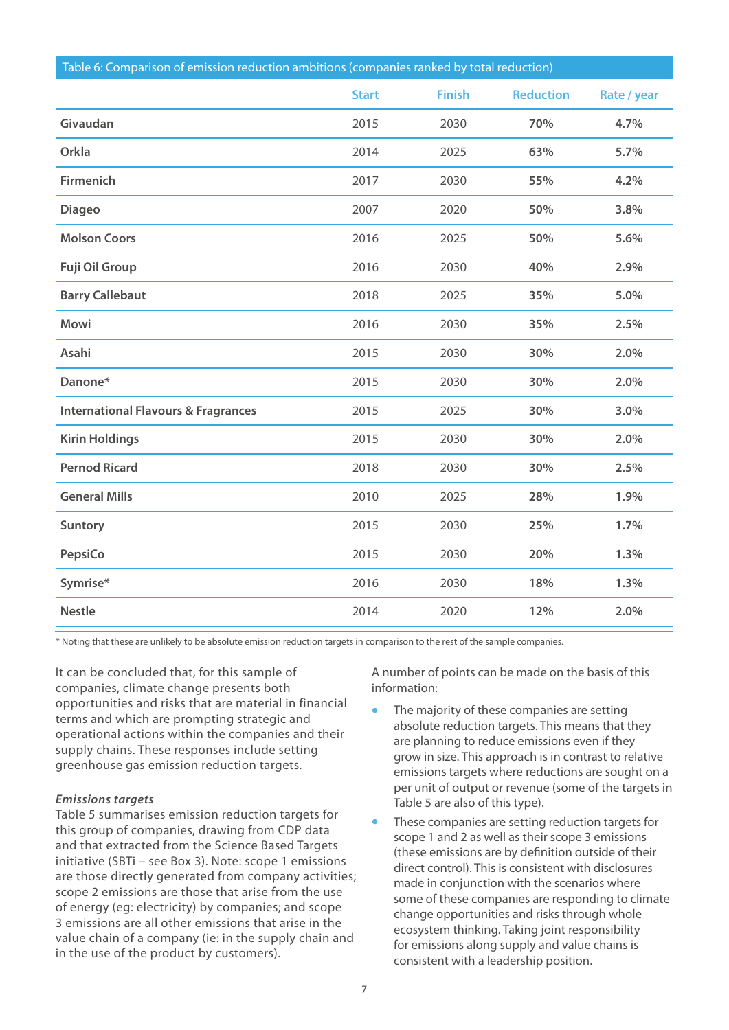| Table 6: Comparison of emission reduction ambitions (companies ranked by total reduction) |              |               |                  |             |  |  |
|-------------------------------------------------------------------------------------------|--------------|---------------|------------------|-------------|--|--|
|                                                                                           | <b>Start</b> | <b>Finish</b> | <b>Reduction</b> | Rate / year |  |  |
| Givaudan                                                                                  | 2015         | 2030          | 70%              | 4.7%        |  |  |
| Orkla                                                                                     | 2014         | 2025          | 63%              | 5.7%        |  |  |
| <b>Firmenich</b>                                                                          | 2017         | 2030          | 55%              | 4.2%        |  |  |
| <b>Diageo</b>                                                                             | 2007         | 2020          | 50%              | 3.8%        |  |  |
| <b>Molson Coors</b>                                                                       | 2016         | 2025          | 50%              | 5.6%        |  |  |
| <b>Fuji Oil Group</b>                                                                     | 2016         | 2030          | 40%              | 2.9%        |  |  |
| <b>Barry Callebaut</b>                                                                    | 2018         | 2025          | 35%              | 5.0%        |  |  |
| <b>Mowi</b>                                                                               | 2016         | 2030          | 35%              | 2.5%        |  |  |
| Asahi                                                                                     | 2015         | 2030          | 30%              | 2.0%        |  |  |
| Danone*                                                                                   | 2015         | 2030          | 30%              | 2.0%        |  |  |
| <b>International Flavours &amp; Fragrances</b>                                            | 2015         | 2025          | 30%              | 3.0%        |  |  |
| <b>Kirin Holdings</b>                                                                     | 2015         | 2030          | 30%              | 2.0%        |  |  |
| <b>Pernod Ricard</b>                                                                      | 2018         | 2030          | 30%              | 2.5%        |  |  |
| <b>General Mills</b>                                                                      | 2010         | 2025          | 28%              | 1.9%        |  |  |
| <b>Suntory</b>                                                                            | 2015         | 2030          | 25%              | 1.7%        |  |  |
| PepsiCo                                                                                   | 2015         | 2030          | 20%              | 1.3%        |  |  |
| Symrise*                                                                                  | 2016         | 2030          | 18%              | 1.3%        |  |  |
| <b>Nestle</b>                                                                             | 2014         | 2020          | 12%              | 2.0%        |  |  |

\* Noting that these are unlikely to be absolute emission reduction targets in comparison to the rest of the sample companies.

It can be concluded that, for this sample of companies, climate change presents both opportunities and risks that are material in financial terms and which are prompting strategic and operational actions within the companies and their supply chains. These responses include setting greenhouse gas emission reduction targets.

#### *Emissions targets*

Table 5 summarises emission reduction targets for this group of companies, drawing from CDP data and that extracted from the Science Based Targets initiative (SBTi – see Box 3). Note: scope 1 emissions are those directly generated from company activities; scope 2 emissions are those that arise from the use of energy (eg: electricity) by companies; and scope 3 emissions are all other emissions that arise in the value chain of a company (ie: in the supply chain and in the use of the product by customers).

A number of points can be made on the basis of this information:

- **•** The majority of these companies are setting absolute reduction targets. This means that they are planning to reduce emissions even if they grow in size. This approach is in contrast to relative emissions targets where reductions are sought on a per unit of output or revenue (some of the targets in Table 5 are also of this type).
- **•** These companies are setting reduction targets for scope 1 and 2 as well as their scope 3 emissions (these emissions are by definition outside of their direct control). This is consistent with disclosures made in conjunction with the scenarios where some of these companies are responding to climate change opportunities and risks through whole ecosystem thinking. Taking joint responsibility for emissions along supply and value chains is consistent with a leadership position.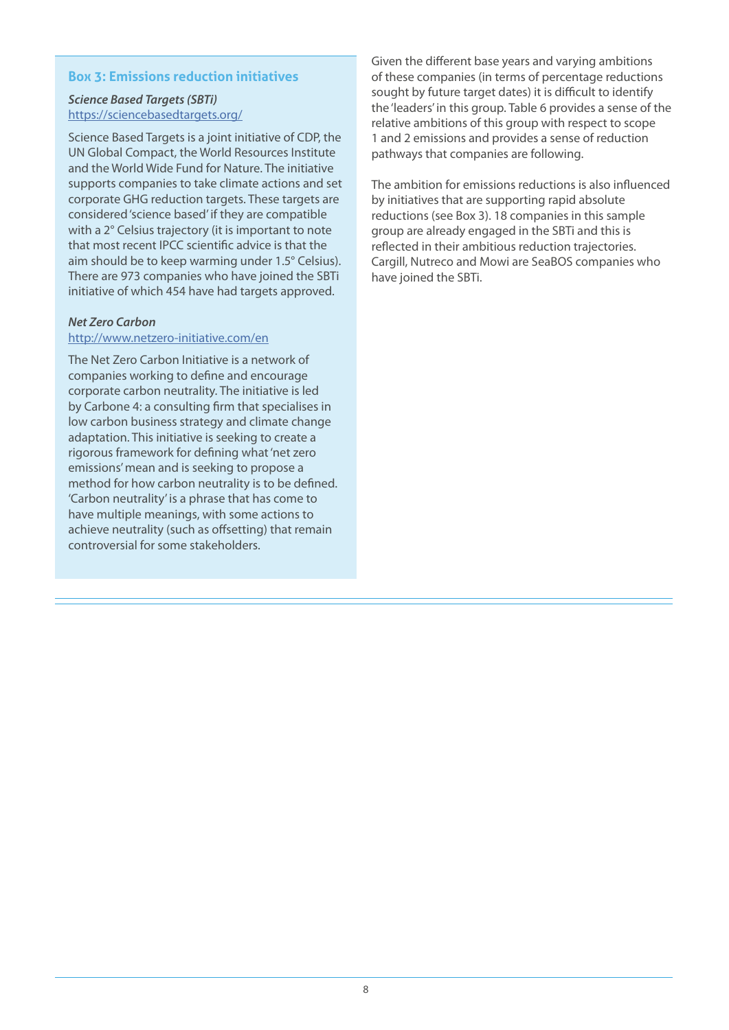# **Box 3: Emissions reduction initiatives**

# *Science Based Targets (SBTi)* <https://sciencebasedtargets.org/>

Science Based Targets is a joint initiative of CDP, the UN Global Compact, the World Resources Institute and the World Wide Fund for Nature. The initiative supports companies to take climate actions and set corporate GHG reduction targets. These targets are considered 'science based' if they are compatible with a 2° Celsius trajectory (it is important to note that most recent IPCC scientific advice is that the aim should be to keep warming under 1.5° Celsius). There are 973 companies who have joined the SBTi initiative of which 454 have had targets approved.

# *Net Zero Carbon*

#### <http://www.netzero-initiative.com/en>

The Net Zero Carbon Initiative is a network of companies working to define and encourage corporate carbon neutrality. The initiative is led by Carbone 4: a consulting firm that specialises in low carbon business strategy and climate change adaptation. This initiative is seeking to create a rigorous framework for defining what 'net zero emissions' mean and is seeking to propose a method for how carbon neutrality is to be defined. 'Carbon neutrality' is a phrase that has come to have multiple meanings, with some actions to achieve neutrality (such as offsetting) that remain controversial for some stakeholders.

Given the different base years and varying ambitions of these companies (in terms of percentage reductions sought by future target dates) it is difficult to identify the 'leaders' in this group. Table 6 provides a sense of the relative ambitions of this group with respect to scope 1 and 2 emissions and provides a sense of reduction pathways that companies are following.

The ambition for emissions reductions is also influenced by initiatives that are supporting rapid absolute reductions (see Box 3). 18 companies in this sample group are already engaged in the SBTi and this is reflected in their ambitious reduction trajectories. Cargill, Nutreco and Mowi are SeaBOS companies who have joined the SBTi.